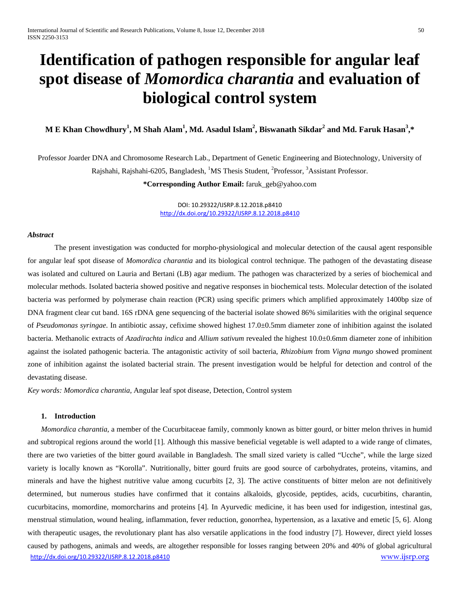# **Identification of pathogen responsible for angular leaf spot disease of** *Momordica charantia* **and evaluation of biological control system**

**M E Khan Chowdhury<sup>1</sup> , M Shah Alam1 , Md. Asadul Islam2 , Biswanath Sikdar2 and Md. Faruk Hasan<sup>3</sup> ,\***

Professor Joarder DNA and Chromosome Research Lab., Department of Genetic Engineering and Biotechnology, University of Rajshahi, Rajshahi-6205, Bangladesh, <sup>1</sup>MS Thesis Student, <sup>2</sup>Professor, <sup>3</sup>Assistant Professor.

**\*Corresponding Author Email:** faruk\_geb@yahoo.com

DOI: 10.29322/IJSRP.8.12.2018.p8410 <http://dx.doi.org/10.29322/IJSRP.8.12.2018.p8410>

# *Abstract*

The present investigation was conducted for morpho-physiological and molecular detection of the causal agent responsible for angular leaf spot disease of *Momordica charantia* and its biological control technique. The pathogen of the devastating disease was isolated and cultured on Lauria and Bertani (LB) agar medium. The pathogen was characterized by a series of biochemical and molecular methods. Isolated bacteria showed positive and negative responses in biochemical tests. Molecular detection of the isolated bacteria was performed by polymerase chain reaction (PCR) using specific primers which amplified approximately 1400bp size of DNA fragment clear cut band. 16S rDNA gene sequencing of the bacterial isolate showed 86% similarities with the original sequence of *Pseudomonas syringae*. In antibiotic assay, cefixime showed highest 17.0±0.5mm diameter zone of inhibition against the isolated bacteria. Methanolic extracts of *Azadirachta indica* and *Allium sativum* revealed the highest 10.0±0.6mm diameter zone of inhibition against the isolated pathogenic bacteria. The antagonistic activity of soil bacteria, *Rhizobium* from *Vigna mungo* showed prominent zone of inhibition against the isolated bacterial strain. The present investigation would be helpful for detection and control of the devastating disease.

*Key words: Momordica charantia,* Angular leaf spot disease, Detection, Control system

## **1. Introduction**

<http://dx.doi.org/10.29322/IJSRP.8.12.2018.p8410> [www.ijsrp.org](http://ijsrp.org/) *Momordica charantia*, a member of the Cucurbitaceae family, commonly known as bitter gourd, or bitter melon thrives in humid and subtropical regions around the world [1]. Although this massive beneficial vegetable is well adapted to a wide range of climates, there are two varieties of the bitter gourd available in Bangladesh. The small sized variety is called "Ucche", while the large sized variety is locally known as "Korolla". Nutritionally, bitter gourd fruits are good source of carbohydrates, proteins, vitamins, and minerals and have the highest nutritive value among cucurbits [2, 3]. The active constituents of bitter melon are not definitively determined, but numerous studies have confirmed that it contains alkaloids, glycoside, peptides, acids, cucurbitins, charantin, cucurbitacins, momordine, momorcharins and proteins [4]. In Ayurvedic medicine, it has been used for indigestion, intestinal gas, menstrual stimulation, wound healing, inflammation, fever reduction, gonorrhea, hypertension, as a laxative and emetic [5, 6]. Along with therapeutic usages, the revolutionary plant has also versatile applications in the food industry [7]. However, direct yield losses caused by pathogens, animals and weeds, are altogether responsible for losses ranging between 20% and 40% of global agricultural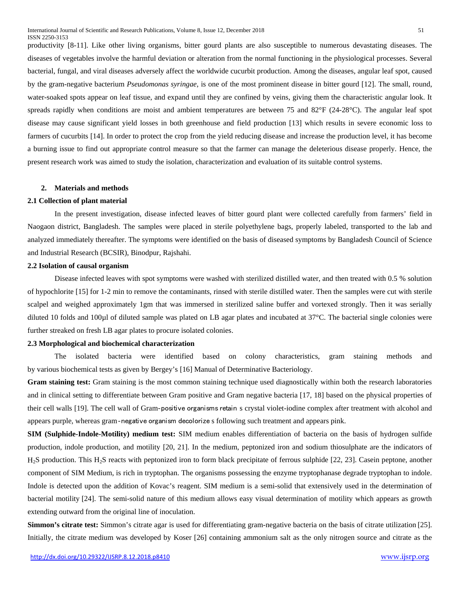productivity [8-11]. Like other living organisms, bitter gourd plants are also susceptible to numerous devastating diseases. The diseases of vegetables involve the harmful deviation or alteration from the normal functioning in the physiological processes. Several bacterial, fungal, and viral diseases adversely affect the worldwide cucurbit production. Among the diseases, angular leaf spot, caused by the gram-negative bacterium *Pseudomonas syringae*, is one of the most prominent disease in bitter gourd [12]. The small, round, water-soaked spots appear on leaf tissue, and expand until they are confined by veins, giving them the characteristic angular look. It spreads rapidly when conditions are moist and ambient temperatures are between 75 and 82 $\degree$ F (24-28 $\degree$ C). The angular leaf spot disease may cause significant yield losses in both greenhouse and field production [13] which results in severe economic loss to farmers of cucurbits [14]. In order to protect the crop from the yield reducing disease and increase the production level, it has become a burning issue to find out appropriate control measure so that the farmer can manage the deleterious disease properly. Hence, the present research work was aimed to study the isolation, characterization and evaluation of its suitable control systems.

## **2. Materials and methods**

## **2.1 Collection of plant material**

In the present investigation, disease infected leaves of bitter gourd plant were collected carefully from farmers' field in Naogaon district, Bangladesh. The samples were placed in sterile polyethylene bags, properly labeled, transported to the lab and analyzed immediately thereafter. The symptoms were identified on the basis of diseased symptoms by Bangladesh Council of Science and Industrial Research (BCSIR), Binodpur, Rajshahi.

# **2.2 Isolation of causal organism**

Disease infected leaves with spot symptoms were washed with sterilized distilled water, and then treated with 0.5 % solution of hypochlorite [15] for 1-2 min to remove the contaminants, rinsed with sterile distilled water. Then the samples were cut with sterile scalpel and weighed approximately 1gm that was immersed in sterilized saline buffer and vortexed strongly. Then it was serially diluted 10 folds and 100µl of diluted sample was plated on LB agar plates and incubated at 37°C. The bacterial single colonies were further streaked on fresh LB agar plates to procure isolated colonies.

## **2.3 Morphological and biochemical characterization**

The isolated bacteria were identified based on colony characteristics, gram staining methods and by various biochemical tests as given by Bergey's [16] Manual of Determinative Bacteriology.

**Gram staining test:** Gram staining is the most common staining technique used diagnostically within both the research laboratories and in clinical setting to differentiate between Gram positive and Gram negative bacteria [17, 18] based on the physical properties of their cell walls [19]. The cell wall of Gram‐positive organisms retain s crystal violet-iodine complex after treatment with alcohol and appears purple, whereas gram‐negative organism decolorize s following such treatment and appears pink.

**SIM (Sulphide-Indole-Motility) medium test:** SIM medium enables differentiation of bacteria on the basis of hydrogen sulfide production, indole production, and motility [20, 21]. In the medium, peptonized iron and sodium thiosulphate are the indicators of  $H_2$ S production. This  $H_2$ S reacts with peptonized iron to form black precipitate of ferrous sulphide [22, 23]. Casein peptone, another component of SIM Medium, is rich in tryptophan. The organisms possessing the enzyme tryptophanase degrade tryptophan to indole. Indole is detected upon the addition of Kovac's reagent. SIM medium is a semi-solid that extensively used in the determination of bacterial motility [24]. The semi-solid nature of this medium allows easy visual determination of motility which appears as growth extending outward from the original line of inoculation.

**Simmon's citrate test:** Simmon's citrate agar is used for differentiating gram-negative bacteria on the basis of citrate utilization [25]. Initially, the citrate medium was developed by Koser [26] containing ammonium salt as the only nitrogen source and citrate as the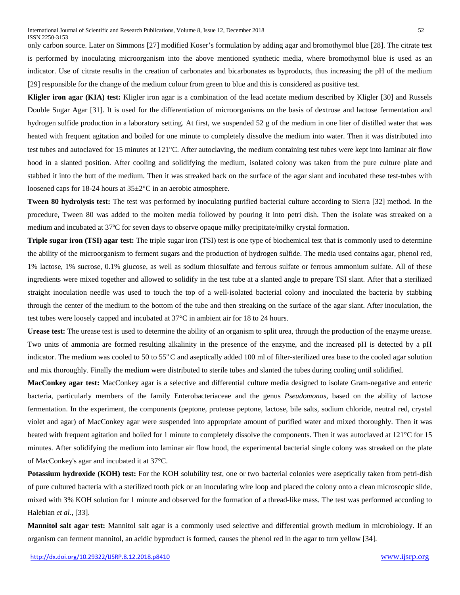only carbon source. Later on Simmons [27] modified Koser's formulation by adding agar and bromothymol blue [28]. The citrate test is performed by inoculating microorganism into the above mentioned synthetic media, where bromothymol blue is used as an indicator. Use of citrate results in the creation of carbonates and bicarbonates as byproducts, thus increasing the pH of the medium [29] responsible for the change of the medium colour from green to blue and this is considered as positive test.

**Kligler iron agar (KIA) test:** Kligler iron agar is a combination of the lead acetate medium described by Kligler [30] and Russels Double Sugar Agar [31]. It is used for the differentiation of microorganisms on the basis of dextrose and lactose fermentation and hydrogen sulfide production in a laboratory setting. At first, we suspended 52 g of the medium in one liter of distilled water that was heated with frequent agitation and boiled for one minute to completely dissolve the medium into water. Then it was distributed into test tubes and autoclaved for 15 minutes at 121°C. After autoclaving, the medium containing test tubes were kept into laminar air flow hood in a slanted position. After cooling and solidifying the medium, isolated colony was taken from the pure culture plate and stabbed it into the butt of the medium. Then it was streaked back on the surface of the agar slant and incubated these test-tubes with loosened caps for 18-24 hours at  $35\pm2\degree$ C in an aerobic atmosphere.

**Tween 80 hydrolysis test:** The test was performed by inoculating purified bacterial culture according to Sierra [32] method. In the procedure, Tween 80 was added to the molten media followed by pouring it into petri dish. Then the isolate was streaked on a medium and incubated at 37ºC for seven days to observe opaque milky precipitate/milky crystal formation.

**Triple sugar iron (TSI) agar test:** The triple sugar iron (TSI) test is one type of biochemical test that is commonly used to determine the ability of the microorganism to ferment sugars and the production of hydrogen sulfide. The media used contains [agar,](https://en.wikipedia.org/wiki/Agar) phenol red, 1% [lactose,](https://en.wikipedia.org/wiki/Lactose) 1% [sucrose,](https://en.wikipedia.org/wiki/Sucrose) 0.1% [glucose,](https://en.wikipedia.org/wiki/Glucose) as well as sodium thiosulfate and ferrous sulfate or ferrous ammonium sulfate. All of these ingredients were mixed together and allowed to solidify in the test tube at a slanted angle to prepare TSI slant. After that a sterilized straight inoculation needle was used to touch the top of a well-isolated bacterial colony and inoculated the bacteria by stabbing through the center of the medium to the bottom of the tube and then streaking on the surface of the agar slant. After inoculation, the test tubes were loosely capped and incubated at 37°C in ambient air for 18 to 24 hours.

**Urease test:** The urease test is used to determine the ability of an organism to split urea, through the production of the enzyme urease. Two units of ammonia are formed resulting alkalinity in the presence of the enzyme, and the increased pH is detected by a pH indicator. The medium was cooled to 50 to  $55^{\circ}$ C and aseptically added 100 ml of filter-sterilized urea base to the cooled agar solution and mix thoroughly. Finally the medium were distributed to sterile tubes and slanted the tubes during cooling until solidified.

**MacConkey agar test:** MacConkey agar is a selective and differential culture media designed to isolate Gram-negative and enteric bacteria, particularly members of the family Enterobacteriaceae and the genus *Pseudomonas,* based on the ability of lactose fermentation. In the experiment, the components (peptone, proteose peptone, lactose, bile salts, sodium chloride, neutral red, crystal violet and agar) of MacConkey agar were suspended into appropriate amount of purified water and mixed thoroughly. Then it was heated with frequent agitation and boiled for 1 minute to completely dissolve the components. Then it was autoclaved at 121<sup>°</sup>C for 15 minutes. After solidifying the medium into laminar air flow hood, the experimental bacterial single colony was streaked on the plate of MacConkey's agar and incubated it at 37°C.

**Potassium hydroxide (KOH) test:** For the KOH solubility test, one or two bacterial colonies were aseptically taken from petri-dish of pure cultured bacteria with a sterilized tooth pick or an inoculating wire loop and placed the colony onto a clean microscopic slide, mixed with 3% KOH solution for 1 minute and observed for the formation of a thread-like mass. The test was performed according to Halebian *et al.,* [33].

**Mannitol salt agar test:** Mannitol salt agar is a commonly used [selective](https://en.wikipedia.org/wiki/Growth_medium#Selective_media) and differential growth medium in [microbiology.](https://en.wikipedia.org/wiki/Microbiology) If an organism can ferment mannitol, an acidic byproduct is formed, causes the phenol red in the agar to turn yellow [34].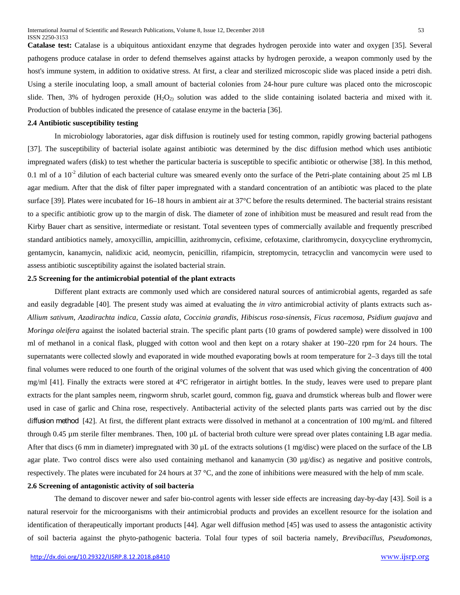**Catalase test:** Catalase is a ubiquitous antioxidant enzyme that degrades hydrogen peroxide into water and oxygen [35]. Several pathogens produce catalase in order to defend themselves against attacks by hydrogen peroxide, a weapon commonly used by the host's immune system, in addition to oxidative stress. At first, a clear and sterilized microscopic slide was placed inside a petri dish. Using a sterile inoculating loop, a small amount of bacterial colonies from 24-hour pure culture was placed onto the microscopic slide. Then, 3% of hydrogen peroxide  $(H_2O_2)$  solution was added to the slide containing isolated bacteria and mixed with it. Production of bubbles indicated the presence of catalase enzyme in the bacteria [36].

# **2.4 Antibiotic susceptibility testing**

In microbiology laboratories, agar disk diffusion is routinely used for testing common, rapidly growing bacterial pathogens [37]. The susceptibility of bacterial isolate against antibiotic was determined by the disc diffusion method which uses antibiotic impregnated wafers (disk) to test whether the particular bacteria is susceptible to specific antibiotic or otherwise [38]. In this method, 0.1 ml of a  $10^{-2}$  dilution of each bacterial culture was smeared evenly onto the surface of the Petri-plate containing about 25 ml LB agar medium. After that the disk of filter paper impregnated with a standard concentration of an antibiotic was placed to the plate surface [39]. Plates were incubated for 16–18 hours in ambient air at 37°C before the results determined. The bacterial strains resistant to a specific antibiotic grow up to the margin of disk. The diameter of zone of inhibition must be measured and result read from the Kirby Bauer chart as sensitive, intermediate or resistant. Total seventeen types of commercially available and frequently prescribed standard antibiotics namely, amoxycillin, ampicillin, azithromycin, cefixime, cefotaxime, clarithromycin, doxycycline erythromycin, gentamycin, kanamycin, nalidixic acid, neomycin, penicillin, rifampicin, streptomycin, tetracyclin and vancomycin were used to assess antibiotic susceptibility against the isolated bacterial strain.

## **2.5 Screening for the antimicrobial potential of the plant extracts**

Different plant extracts are commonly used which are considered natural sources of antimicrobial agents, regarded as safe and easily degradable [40]. The present study was aimed at evaluating the *in vitro* antimicrobial activity of plants extracts such as-*Allium sativum*, *Azadirachta indica*, *Cassia alata*, *Coccinia grandis*, *Hibiscus rosa-sinensis*, *Ficus racemosa*, *Psidium guajava* and *Moringa oleifera* against the isolated bacterial strain. The specific plant parts (10 grams of powdered sample) were dissolved in 100 ml of methanol in a conical flask, plugged with cotton wool and then kept on a rotary shaker at 190–220 rpm for 24 hours. The supernatants were collected slowly and evaporated in wide mouthed evaporating bowls at room temperature for 2–3 days till the total final volumes were reduced to one fourth of the original volumes of the solvent that was used which giving the concentration of 400 mg/ml [41]. Finally the extracts were stored at 4°C refrigerator in airtight bottles. In the study, leaves were used to prepare plant extracts for the plant samples neem, ringworm shrub, scarlet gourd, common fig, guava and drumstick whereas bulb and flower were used in case of garlic and China rose, respectively. Antibacterial activity of the selected plants parts was carried out by the disc diffusion method [42]. At first, the different plant extracts were dissolved in methanol at a concentration of 100 mg/mL and filtered through 0.45 µm sterile filter membranes. Then, 100 µL of bacterial broth culture were spread over plates containing LB agar media. After that discs (6 mm in diameter) impregnated with  $30 \mu$ . Of the extracts solutions (1 mg/disc) were placed on the surface of the LB agar plate. Two control discs were also used containing methanol and kanamycin (30 µg/disc) as negative and positive controls, respectively. The plates were incubated for 24 hours at  $37^{\circ}$ C, and the zone of inhibitions were measured with the help of mm scale.

# **2.6 Screening of antagonistic activity of soil bacteria**

The demand to discover newer and safer bio-control agents with lesser side effects are increasing day-by-day [43]. Soil is a natural reservoir for the microorganisms with their antimicrobial products and provides an excellent resource for the isolation and identification of therapeutically important products [44]. Agar well diffusion method [45] was used to assess the antagonistic activity of soil bacteria against the phyto-pathogenic bacteria. Tolal four types of soil bacteria namely, *Brevibacillus, Pseudomonas,*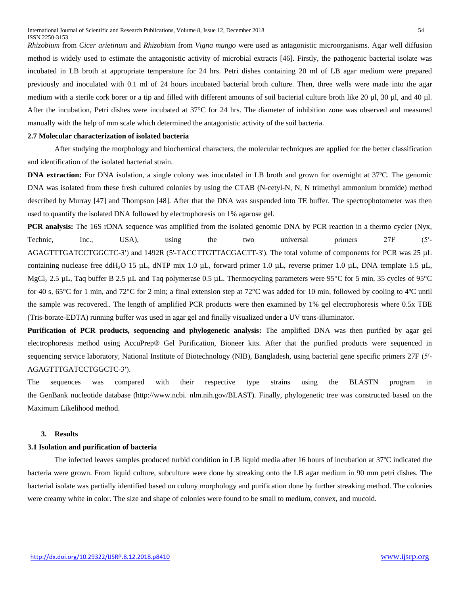*Rhizobium* from *Cicer arietinum* and *Rhizobium* from *Vigna mungo* were used as antagonistic microorganisms. Agar well diffusion method is widely used to estimate the antagonistic activity of microbial extracts [46]. Firstly, the pathogenic bacterial isolate was incubated in LB broth at appropriate temperature for 24 hrs. Petri dishes containing 20 ml of LB agar medium were prepared previously and inoculated with 0.1 ml of 24 hours incubated bacterial broth culture. Then, three wells were made into the agar medium with a sterile cork borer or a tip and filled with different amounts of soil bacterial culture broth like 20 µl, 30 µl, and 40 µl. After the incubation, Petri dishes were incubated at 37°C for 24 hrs. The diameter of inhibition zone was observed and measured manually with the help of mm scale which determined the antagonistic activity of the soil bacteria.

# **2.7 Molecular characterization of isolated bacteria**

After studying the morphology and biochemical characters, the molecular techniques are applied for the better classification and identification of the isolated bacterial strain.

**DNA extraction:** For DNA isolation, a single colony was inoculated in LB broth and grown for overnight at 37°C. The genomic DNA was isolated from these fresh cultured colonies by using the CTAB (N-cetyl-N, N, N trimethyl ammonium bromide) method described by Murray [47] and Thompson [48]. After that the DNA was suspended into TE buffer. The spectrophotometer was then used to quantify the isolated DNA followed by electrophoresis on 1% agarose gel.

**PCR analysis:** The 16S rDNA sequence was amplified from the isolated genomic DNA by PCR reaction in a thermo cycler (Nyx, Technic, Inc., USA), using the two universal primers 27F (5′- AGAGTTTGATCCTGGCTC-3′) and 1492R (5'-TACCTTGTTACGACTT-3'). The total volume of components for PCR was 25 µL containing nuclease free ddH<sub>2</sub>O 15 µL, dNTP mix 1.0 µL, forward primer 1.0 µL, reverse primer 1.0 µL, DNA template 1.5 µL, MgCl<sub>2</sub> 2.5 µL, Taq buffer B 2.5 µL and Taq polymerase 0.5 µL. Thermocycling parameters were 95°C for 5 min, 35 cycles of 95°C for 40 s, 65°C for 1 min, and 72°C for 2 min; a final extension step at 72°C was added for 10 min, followed by cooling to 4ºC until the sample was recovered.. The length of amplified PCR products were then examined by 1% gel electrophoresis where 0.5x TBE (Tris-borate-EDTA) running buffer was used in agar gel and finally visualized under a UV trans-illuminator.

**Purification of PCR products, sequencing and phylogenetic analysis:** The amplified DNA was then purified by agar gel electrophoresis method using AccuPrep® Gel Purification, Bioneer kits. After that the purified products were sequenced in sequencing service laboratory, National Institute of Biotechnology (NIB), Bangladesh, using bacterial gene specific primers 27F (5′- AGAGTTTGATCCTGGCTC-3′).

The sequences was compared with their respective type strains using the BLASTN program in the GenBank nucleotide database (http://www.ncbi. nlm.nih.gov/BLAST). Finally, phylogenetic tree was constructed based on the Maximum Likelihood method.

# **3. Results**

# **3.1 Isolation and purification of bacteria**

The infected leaves samples produced turbid condition in LB liquid media after 16 hours of incubation at 37ºC indicated the bacteria were grown. From liquid culture, subculture were done by streaking onto the LB agar medium in 90 mm petri dishes. The bacterial isolate was partially identified based on colony morphology and purification done by further streaking method. The colonies were creamy white in color. The size and shape of colonies were found to be small to medium, convex, and mucoid.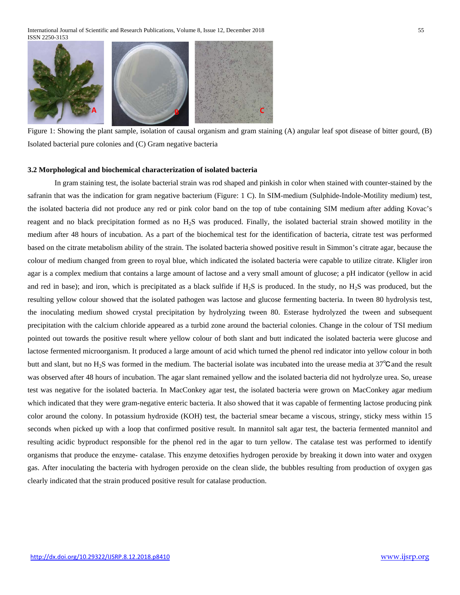International Journal of Scientific and Research Publications, Volume 8, Issue 12, December 2018 55 ISSN 2250-3153



Figure 1: Showing the plant sample, isolation of causal organism and gram staining (A) angular leaf spot disease of bitter gourd, (B) Isolated bacterial pure colonies and (C) Gram negative bacteria

#### **3.2 Morphological and biochemical characterization of isolated bacteria**

In gram staining test, the isolate bacterial strain was rod shaped and pinkish in color when stained with counter-stained by the safranin that was the indication for gram negative bacterium (Figure: 1 C). In SIM-medium (Sulphide-Indole-Motility medium) test, the isolated bacteria did not produce any red or pink color band on the top of tube containing SIM medium after adding Kovac's reagent and no black precipitation formed as no H2S was produced. Finally, the isolated bacterial strain showed motility in the medium after 48 hours of incubation. As a part of the biochemical test for the identification of bacteria, citrate test was performed based on the citrate metabolism ability of the strain. The isolated bacteria showed positive result in Simmon's citrate agar, because the colour of medium changed from green to royal blue, which indicated the isolated bacteria were capable to utilize citrate. Kligler iron agar is a complex medium that contains a large amount of lactose and a very small amount of glucose; a pH indicator (yellow in acid and red in base); and iron, which is precipitated as a black sulfide if H<sub>2</sub>S is produced. In the study, no H<sub>2</sub>S was produced, but the resulting yellow colour showed that the isolated pathogen was lactose and glucose fermenting bacteria. In tween 80 hydrolysis test, the inoculating medium showed crystal precipitation by hydrolyzing tween 80. Esterase hydrolyzed the tween and subsequent precipitation with the calcium chloride appeared as a turbid zone around the bacterial colonies. Change in the colour of TSI medium pointed out towards the positive result where yellow colour of both slant and butt indicated the isolated bacteria were glucose and lactose fermented microorganism. It produced a large amount of acid which turned the phenol red indicator into yellow colour in both butt and slant, but no H<sub>2</sub>S was formed in the medium. The bacterial isolate was incubated into the urease media at 37<sup>°</sup>C and the result was observed after 48 hours of incubation. The agar slant remained yellow and the isolated bacteria did not hydrolyze urea. So, urease test was negative for the isolated bacteria. In MacConkey agar test, the isolated bacteria were grown on MacConkey agar medium which indicated that they were gram-negative enteric bacteria. It also showed that it was capable of fermenting lactose producing pink color around the colony. In potassium hydroxide (KOH) test, the bacterial smear became a viscous, stringy, sticky mess within 15 seconds when picked up with a loop that confirmed positive result. In mannitol salt agar test, the bacteria fermented mannitol and resulting acidic byproduct responsible for the phenol red in the agar to turn yellow. The catalase test was performed to identify organisms that produce the enzyme- catalase. This enzyme detoxifies hydrogen peroxide by breaking it down into water and oxygen gas. After inoculating the bacteria with hydrogen peroxide on the clean slide, the bubbles resulting from production of oxygen gas clearly indicated that the strain produced positive result for catalase production.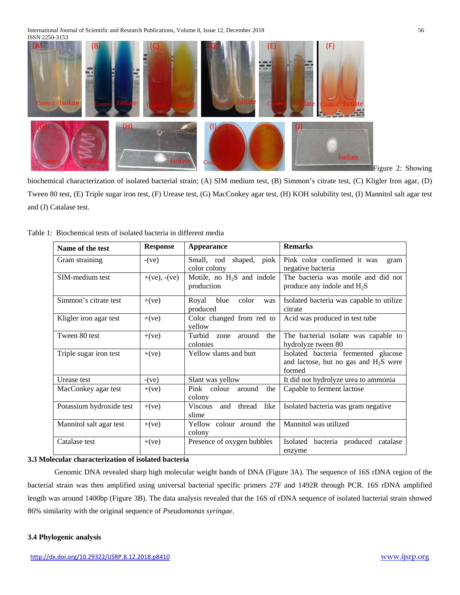International Journal of Scientific and Research Publications, Volume 8, Issue 12, December 2018 56 ISSN 2250-3153



biochemical characterization of isolated bacterial strain; (A) SIM medium test, (B) Simmon's citrate test, (C) Kligler Iron agar, (D) Tween 80 test, (E) Triple sugar iron test, (F) Urease test, (G) MacConkey agar test, (H) KOH solubility test, (I) Mannitol salt agar test and (J) Catalase test.

| Name of the test         | <b>Response</b> | <b>Appearance</b>                                | <b>Remarks</b>                                                                           |
|--------------------------|-----------------|--------------------------------------------------|------------------------------------------------------------------------------------------|
| Gram straining           | $-(ve)$         | Small, rod shaped, pink<br>color colony          | Pink color confirmed it was<br>gram<br>negative bacteria                                 |
| SIM-medium test          | $+(ve), -(ve)$  | Motile, no $H_2S$ and indole<br>production       | The bacteria was motile and did not<br>produce any indole and $H_2S$                     |
| Simmon's citrate test    | $+(ve)$         | blue<br>color<br>Royal<br>was<br>produced        | Isolated bacteria was capable to utilize.<br>citrate                                     |
| Kligler iron agar test   | $+(ve)$         | Color changed from red to<br>yellow              | Acid was produced in test tube                                                           |
| Tween 80 test            | $+(ve)$         | Turbid<br>around<br>the<br>zone<br>colonies      | The bacterial isolate was capable to<br>hydrolyze tween 80                               |
| Triple sugar iron test   | $+(ve)$         | Yellow slants and butt                           | Isolated bacteria fermented glucose<br>and lactose, but no gas and $H_2S$ were<br>formed |
| Urease test              | $-(ve)$         | Slant was yellow                                 | It did not hydrolyze urea to ammonia                                                     |
| MacConkey agar test      | $+(ve)$         | Pink colour<br>around<br>the<br>colony           | Capable to ferment lactose                                                               |
| Potassium hydroxide test | $+(ve)$         | like<br>thread<br><b>Viscous</b><br>and<br>slime | Isolated bacteria was gram negative                                                      |
| Mannitol salt agar test  | $+(ve)$         | Yellow colour around the<br>colony               | Mannitol was utilized                                                                    |
| Catalase test            | $+(ve)$         | Presence of oxygen bubbles                       | Isolated<br>bacteria produced catalase<br>enzyme                                         |

| Table 1: Biochemical tests of isolated bacteria in different media |  |
|--------------------------------------------------------------------|--|
|--------------------------------------------------------------------|--|

# **3.3 Molecular characterization of isolated bacteria**

Genomic DNA revealed sharp high molecular weight bands of DNA (Figure 3A). The sequence of 16S rDNA region of the bacterial strain was then amplified using universal bacterial specific primers 27F and 1492R through PCR. 16S rDNA amplified length was around 1400bp (Figure 3B). The data analysis revealed that the 16S of rDNA sequence of isolated bacterial strain showed 86% similarity with the original sequence of *Pseudomonas syringae*.

# **3.4 Phylogenic analysis**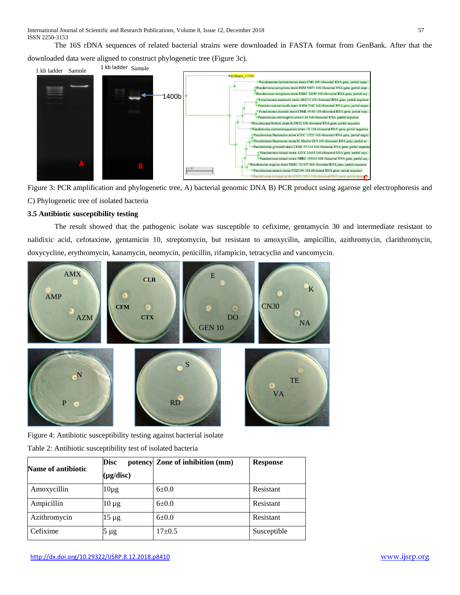The 16S rDNA sequences of related bacterial strains were downloaded in FASTA format from GenBank. After that the downloaded data were aligned to construct phylogenetic tree (Figure 3c).





Figure 3: PCR amplification and phylogenetic tree, A) bacterial genomic DNA B) PCR product using agarose gel electrophoresis and C) Phylogenetic tree of isolated bacteria

# **3.5 Antibiotic susceptibility testing**

The result showed that the pathogenic isolate was susceptible to cefixime, gentamycin 30 and intermediate resistant to nalidixic acid, cefotaxime, gentamicin 10, streptomycin, but resistant to amoxycilin, ampicillin, azithromycin, clarithromycin, doxycycline, erythromycin, kanamycin, neomycin, penicillin, rifampicin, tetracyclin and vancomycin.



Figure 4: Antibiotic susceptibility testing against bacterial isolate

| Table 2: Antibiotic susceptibility test of isolated bacteria |  |
|--------------------------------------------------------------|--|
|--------------------------------------------------------------|--|

| Name of antibiotic | <b>Disc</b>    | potency Zone of inhibition (mm) | <b>Response</b> |
|--------------------|----------------|---------------------------------|-----------------|
|                    | $(\mu$ g/disc) |                                 |                 |
| Amoxycillin        | $10\mu$ g      | $6 \pm 0.0$                     | Resistant       |
| Ampicillin         | $10 \mu$ g     | $6 \pm 0.0$                     | Resistant       |
| Azithromycin       | $15 \mu g$     | $6+0.0$                         | Resistant       |
| Cefixime           | 5 µg           | $17+0.5$                        | Susceptible     |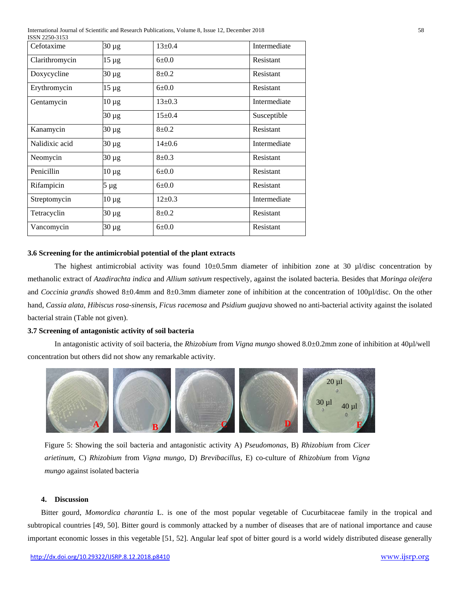International Journal of Scientific and Research Publications, Volume 8, Issue 12, December 2018 58

| ISSN 2250-3153 |            |              |              |
|----------------|------------|--------------|--------------|
| Cefotaxime     | $30 \mu g$ | $13+0.4$     | Intermediate |
| Clarithromycin | $15 \mu g$ | $6 \pm 0.0$  | Resistant    |
| Doxycycline    | 30 µg      | $8+0.2$      | Resistant    |
| Erythromycin   | $15 \mu g$ | $6 + 0.0$    | Resistant    |
| Gentamycin     | $10 \mu g$ | $13 \pm 0.3$ | Intermediate |
|                | 30 µg      | $15+0.4$     | Susceptible  |
| Kanamycin      | 30 µg      | $8+0.2$      | Resistant    |
| Nalidixic acid | $30 \mu g$ | $14+0.6$     | Intermediate |
| Neomycin       | 30 µg      | $8 + 0.3$    | Resistant    |
| Penicillin     | $10 \mu g$ | $6 \pm 0.0$  | Resistant    |
| Rifampicin     | $5 \mu g$  | $6 \pm 0.0$  | Resistant    |
| Streptomycin   | $10 \mu g$ | $12\pm0.3$   | Intermediate |
| Tetracyclin    | 30 µg      | $8 + 0.2$    | Resistant    |
| Vancomycin     | 30 µg      | $6 + 0.0$    | Resistant    |
|                |            |              |              |

## **3.6 Screening for the antimicrobial potential of the plant extracts**

The highest antimicrobial activity was found  $10\pm0.5$ mm diameter of inhibition zone at 30 µl/disc concentration by methanolic extract of *Azadirachta indica* and *Allium sativum* respectively, against the isolated bacteria. Besides that *Moringa oleifera* and *Coccinia grandis* showed 8±0.4mm and 8±0.3mm diameter zone of inhibition at the concentration of 100µl/disc. On the other hand, *Cassia alata*, *Hibiscus rosa-sinensis*, *Ficus racemosa* and *Psidium guajava* showed no anti-bacterial activity against the isolated bacterial strain (Table not given).

# **3.7 Screening of antagonistic activity of soil bacteria**

In antagonistic activity of soil bacteria, the *Rhizobium* from *Vigna mungo* showed 8.0±0.2mm zone of inhibition at 40µl/well concentration but others did not show any remarkable activity.



Figure 5: Showing the soil bacteria and antagonistic activity A) *Pseudomonas*, B) *Rhizobium* from *Cicer arietinum,* C) *Rhizobium* from *Vigna mungo,* D) *Brevibacillus,* E) co-culture of *Rhizobium* from *Vigna mungo* against isolated bacteria

# **4. Discussion**

Bitter gourd, *Momordica charantia* L. is one of the most popular vegetable of Cucurbitaceae family in the tropical and subtropical countries [49, 50]. Bitter gourd is commonly attacked by a number of diseases that are of national importance and cause important economic losses in this vegetable [51, 52]. Angular leaf spot of bitter gourd is a world widely distributed disease generally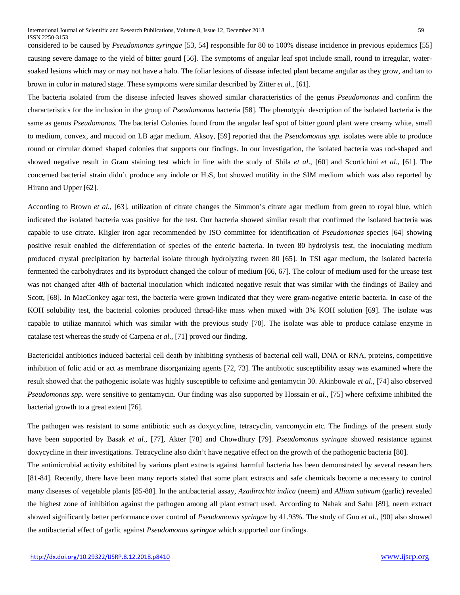considered to be caused by *Pseudomonas syringae* [53, 54] responsible for 80 to 100% disease incidence in previous epidemics [55] causing severe damage to the yield of bitter gourd [56]. The symptoms of angular leaf spot include small, round to irregular, watersoaked lesions which may or may not have a halo. The foliar lesions of disease infected plant became angular as they grow, and tan to brown in color in matured stage. These symptoms were similar described by Zitter *et al*., [61].

The bacteria isolated from the disease infected leaves showed similar characteristics of the genus *Pseudomonas* and confirm the characteristics for the inclusion in the group of *Pseudomonas* bacteria [58]. The phenotypic description of the isolated bacteria is the same as genus *Pseudomonas.* The bacterial Colonies found from the angular leaf spot of bitter gourd plant were creamy white, small to medium, convex, and mucoid on LB agar medium. Aksoy, [59] reported that the *Pseudomonas spp.* isolates were able to produce round or circular domed shaped colonies that supports our findings. In our investigation, the isolated bacteria was rod-shaped and showed negative result in Gram staining test which in line with the study of Shila *et al*., [60] and Scortichini *et al*., [61]. The concerned bacterial strain didn't produce any indole or H2S, but showed motility in the SIM medium which was also reported by Hirano and Upper [62].

According to Brown *et al.,* [63], utilization of citrate changes the Simmon's citrate agar medium from green to royal blue, which indicated the isolated bacteria was positive for the test. Our bacteria showed similar result that confirmed the isolated bacteria was capable to use citrate. Kligler iron agar recommended by ISO committee for identification of *Pseudomonas* species [64] showing positive result enabled the differentiation of species of the enteric bacteria. In tween 80 hydrolysis test, the inoculating medium produced crystal precipitation by bacterial isolate through hydrolyzing tween 80 [65]. In TSI agar medium, the isolated bacteria fermented the carbohydrates and its byproduct changed the colour of medium [66, 67]. The colour of medium used for the urease test was not changed after 48h of bacterial inoculation which indicated negative result that was similar with the findings of Bailey and Scott, [68]. In MacConkey agar test, the bacteria were grown indicated that they were gram-negative enteric bacteria. In case of the KOH solubility test, the bacterial colonies produced thread-like mass when mixed with 3% KOH solution [69]. The isolate was capable to utilize mannitol which was similar with the previous study [70]. The isolate was able to produce catalase enzyme in catalase test whereas the study of Carpena *et al*., [71] proved our finding.

Bactericidal antibiotics induced bacterial cell death by inhibiting synthesis of bacterial cell wall, DNA or RNA, proteins, competitive inhibition of folic acid or act as membrane disorganizing agents [72, 73]. The antibiotic susceptibility assay was examined where the result showed that the pathogenic isolate was highly susceptible to cefixime and gentamycin 30. Akinbowale *et al*., [74] also observed *Pseudomonas spp.* were sensitive to gentamycin. Our finding was also supported by Hossain *et al*., [75] where cefixime inhibited the bacterial growth to a great extent [76].

The pathogen was resistant to some antibiotic such as doxycycline, tetracyclin, vancomycin etc. The findings of the present study have been supported by Basak *et al*., [77], Akter [78] and Chowdhury [79]. *Pseudomonas syringae* showed resistance against doxycycline in their investigations. Tetracycline also didn't have negative effect on the growth of the pathogenic bacteria [80]. The antimicrobial activity exhibited by various plant extracts against harmful bacteria has been demonstrated by several researchers [81-84]. Recently, there have been many reports stated that some plant extracts and safe chemicals become a necessary to control many diseases of vegetable plants [85-88]. In the antibacterial assay, *Azadirachta indica* (neem) and *Allium sativum* (garlic) revealed the highest zone of inhibition against the pathogen among all plant extract used. According to Nahak and Sahu [89], neem extract showed significantly better performance over control of *Pseudomonas syringae* by 41.93%. The study of Guo *et al*., [90] also showed the antibacterial effect of garlic against *Pseudomonas syringae* which supported our findings.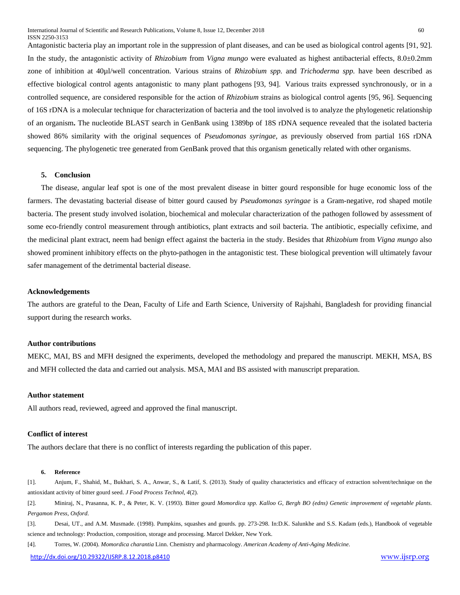Antagonistic bacteria play an important role in the suppression of plant diseases, and can be used as biological control agents [91, 92]. In the study, the antagonistic activity of *Rhizobium* from *Vigna mungo* were evaluated as highest antibacterial effects, 8.0±0.2mm zone of inhibition at 40µl/well concentration. Various strains of *Rhizobium spp.* and *Trichoderma spp.* have been described as effective biological control agents antagonistic to many plant pathogens [93, 94]. Various traits expressed synchronously, or in a controlled sequence, are considered responsible for the action of *Rhizobium* strains as biological control agents [95, 96]. Sequencing of 16S rDNA is a molecular technique for characterization of bacteria and the tool involved is to analyze the phylogenetic relationship of an organism**.** The nucleotide BLAST search in GenBank using 1389bp of 18S rDNA sequence revealed that the isolated bacteria showed 86% similarity with the original sequences of *Pseudomonas syringae,* as previously observed from partial 16S rDNA sequencing. The phylogenetic tree generated from GenBank proved that this organism genetically related with other organisms.

## **5. Conclusion**

The disease, angular leaf spot is one of the most prevalent disease in bitter gourd responsible for huge economic loss of the farmers. The devastating bacterial disease of bitter gourd caused by *Pseudomonas syringae* is a Gram-negative, rod shaped motile bacteria. The present study involved isolation, biochemical and molecular characterization of the pathogen followed by assessment of some eco-friendly control measurement through antibiotics, plant extracts and soil bacteria. The antibiotic, especially cefixime, and the medicinal plant extract, neem had benign effect against the bacteria in the study. Besides that *Rhizobium* from *Vigna mungo* also showed prominent inhibitory effects on the phyto-pathogen in the antagonistic test. These biological prevention will ultimately favour safer management of the detrimental bacterial disease.

#### **Acknowledgements**

The authors are grateful to the Dean, Faculty of Life and Earth Science, University of Rajshahi, Bangladesh for providing financial support during the research works.

## **Author contributions**

MEKC, MAI, BS and MFH designed the experiments, developed the methodology and prepared the manuscript. MEKH, MSA, BS and MFH collected the data and carried out analysis. MSA, MAI and BS assisted with manuscript preparation.

# **Author statement**

All authors read, reviewed, agreed and approved the final manuscript.

# **Conflict of interest**

The authors declare that there is no conflict of interests regarding the publication of this paper.

#### **6. Reference**

[1]. Anjum, F., Shahid, M., Bukhari, S. A., Anwar, S., & Latif, S. (2013). Study of quality characteristics and efficacy of extraction solvent/technique on the antioxidant activity of bitter gourd seed. *J Food Process Technol*, *4*(2).

[2]. Miniraj, N., Prasanna, K. P., & Peter, K. V. (1993). Bitter gourd *Momordica spp. Kalloo G, Bergh BO (edns) Genetic improvement of vegetable plants. Pergamon Press, Oxford*.

[3]. Desai, UT., and A.M. Musmade. (1998). Pumpkins, squashes and gourds. pp. 273-298. In:D.K. Salunkhe and S.S. Kadam (eds.), Handbook of vegetable science and technology: Production, composition, storage and processing. Marcel Dekker, New York.

[4]. Torres, W. (2004). *Momordica charantia* Linn. Chemistry and pharmacology. *American Academy of Anti-Aging Medicine*.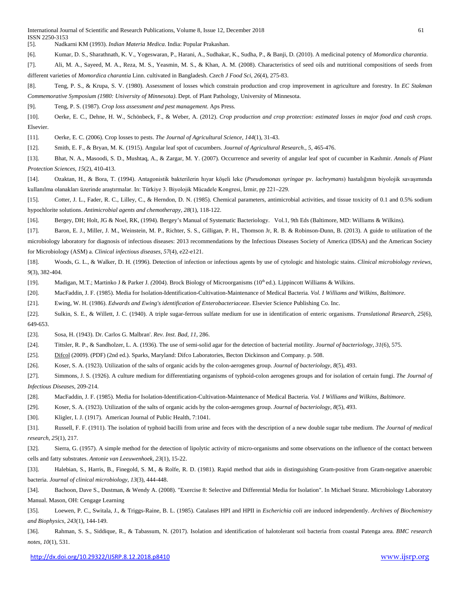International Journal of Scientific and Research Publications, Volume 8, Issue 12, December 2018 61 ISSN 2250-3153

[5]. Nadkarni KM (1993). *Indian Materia Medica*. India: Popular Prakashan.

[6]. Kumar, D. S., Sharathnath, K. V., Yogeswaran, P., Harani, A., Sudhakar, K., Sudha, P., & Banji, D. (2010). A medicinal potency of *Momordica charantia*.

[7]. Ali, M. A., Sayeed, M. A., Reza, M. S., Yeasmin, M. S., & Khan, A. M. (2008). Characteristics of seed oils and nutritional compositions of seeds from different varieties of *Momordica charantia* Linn. cultivated in Bangladesh. *Czech J Food Sci*, *26*(4), 275-83.

[8]. Teng, P. S., & Krupa, S. V. (1980). Assessment of losses which constrain production and crop improvement in agriculture and forestry. In *EC Stakman Commemorative Symposium (1980: University of Minnesota)*. Dept. of Plant Pathology, University of Minnesota.

[9]. Teng, P. S. (1987). *Crop loss assessment and pest management*. Aps Press.

[10]. Oerke, E. C., Dehne, H. W., Schönbeck, F., & Weber, A. (2012). *Crop production and crop protection: estimated losses in major food and cash crops*. Elsevier.

[11]. Oerke, E. C. (2006). Crop losses to pests. *The Journal of Agricultural Science*, *144*(1), 31-43.

[12]. Smith, E. F., & Bryan, M. K. (1915). Angular leaf spot of cucumbers. *Journal of Agricultural Research.*, *5*, 465-476.

[13]. Bhat, N. A., Masoodi, S. D., Mushtaq, A., & Zargar, M. Y. (2007). Occurrence and severity of angular leaf spot of cucumber in Kashmir. *Annals of Plant Protection Sciences*, *15*(2), 410-413.

[14]. Ozaktan, H., & Bora, T. (1994). Antagonistik bakterilerin hıyar köşeli leke (*Pseudomonas syringae* pv. *lachrymans*) hastalığının biyolojik savaşımında kullanılma olanakları üzerinde araştırmalar. In: Türkiye 3. Biyolojik Mücadele Kongresi, İzmir, pp 221–229.

[15]. Cotter, J. L., Fader, R. C., Lilley, C., & Herndon, D. N. (1985). Chemical parameters, antimicrobial activities, and tissue toxicity of 0.1 and 0.5% sodium hypochlorite solutions. *Antimicrobial agents and chemotherapy*, *28*(1), 118-122.

[16]. Bergey, DH; Holt, JG & Noel, RK, (1994). Bergey's Manual of Systematic Bacteriology. Vol.1, 9th Eds (Baltimore, MD: Williams & Wilkins).

[17]. Baron, E. J., Miller, J. M., Weinstein, M. P., Richter, S. S., Gilligan, P. H., Thomson Jr, R. B. & Robinson-Dunn, B. (2013). A guide to utilization of the microbiology laboratory for diagnosis of infectious diseases: 2013 recommendations by the Infectious Diseases Society of America (IDSA) and the American Society for Microbiology (ASM) a. *Clinical infectious diseases*, *57*(4), e22-e121.

[18]. Woods, G. L., & Walker, D. H. (1996). Detection of infection or infectious agents by use of cytologic and histologic stains. *Clinical microbiology reviews*, *9*(3), 382-404.

[19]. Madigan, M.T.; Martinko J & Parker J*. (*2004). Brock Biology of Microorganisms (10th ed.). Lippincott Williams & Wilkins.

[20]. MacFaddin, J. F. (1985). Media for Isolation-Identification-Cultivation-Maintenance of Medical Bacteria. *Vol. I Williams and Wilkins, Baltimore*.

[21]. Ewing, W. H. (1986). *Edwards and Ewing's identification of Enterobacteriaceae*. Elsevier Science Publishing Co. Inc.

[22]. Sulkin, S. E., & Willett, J. C. (1940). A triple sugar-ferrous sulfate medium for use in identification of enteric organisms. *Translational Research*, *25*(6), 649-653.

[23]. Sosa, H. (1943). Dr. Carlos G. Malbran'. *Rev. Inst. Bad*, *11*, 286.

[24]. Tittsler, R. P., & Sandholzer, L. A. (1936). The use of semi-solid agar for the detection of bacterial motility. *Journal of bacteriology*, *31*(6), 575.

[25]. [Difcol](https://web.archive.org/web/20160304001600/https:/www.bd.com/ds/technicalCenter/misc/difcobblmanual_2nded_lowres.pdf) (2009). (PDF) (2nd ed.). Sparks, Maryland: Difco Laboratories, Becton Dickinson and Company. p. 508.

[26]. Koser, S. A. (1923). Utilization of the salts of organic acids by the colon-aerogenes group. *Journal of bacteriology*, *8*(5), 493.

[27]. Simmons, J. S. (1926). A culture medium for differentiating organisms of typhoid-colon aerogenes groups and for isolation of certain fungi. *The Journal of Infectious Diseases*, 209-214.

[28]. MacFaddin, J. F. (1985). Media for Isolation-Identification-Cultivation-Maintenance of Medical Bacteria. *Vol. I Williams and Wilkins, Baltimore*.

[29]. Koser, S. A. (1923). Utilization of the salts of organic acids by the colon-aerogenes group. *Journal of bacteriology*, *8*(5), 493.

[30]. Kligler, I. J. (1917). American Journal of Public Health, 7:1041.

[31]. Russell, F. F. (1911). The isolation of typhoid bacilli from urine and feces with the description of a new double sugar tube medium. *The Journal of medical research*, *25*(1), 217.

[32]. Sierra, G. (1957). A simple method for the detection of lipolytic activity of micro-organisms and some observations on the influence of the contact between cells and fatty substrates. *Antonie van Leeuwenhoek*, *23*(1), 15-22.

[33]. Halebian, S., Harris, B., Finegold, S. M., & Rolfe, R. D. (1981). Rapid method that aids in distinguishing Gram-positive from Gram-negative anaerobic bacteria. *Journal of clinical microbiology*, *13*(3), 444-448.

[34]. Bachoon, Dave S., Dustman, & Wendy A. (2008). "Exercise 8: Selective and Differential Media for Isolation". In Michael Stranz. Microbiology Laboratory Manual. Mason, OH: Cengage Learning

[35]. Loewen, P. C., Switala, J., & Triggs-Raine, B. L. (1985). Catalases HPI and HPII in *Escherichia coli* are induced independently. *Archives of Biochemistry and Biophysics*, *243*(1), 144-149.

[36]. Rahman, S. S., Siddique, R., & Tabassum, N. (2017). Isolation and identification of halotolerant soil bacteria from coastal Patenga area. *BMC research notes*, *10*(1), 531.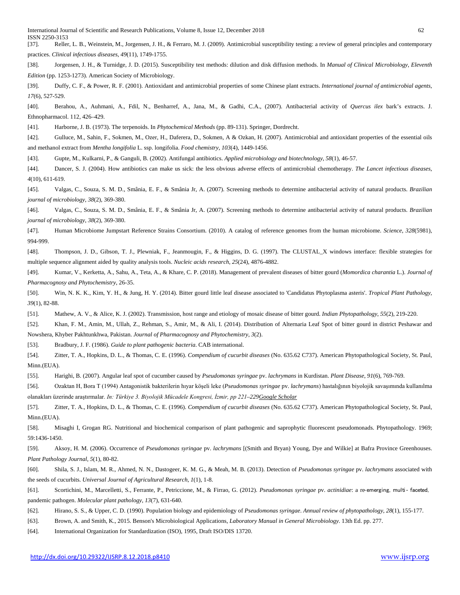International Journal of Scientific and Research Publications, Volume 8, Issue 12, December 2018 62 ISSN 2250-3153

[37]. Reller, L. B., Weinstein, M., Jorgensen, J. H., & Ferraro, M. J. (2009). Antimicrobial susceptibility testing: a review of general principles and contemporary practices. *Clinical infectious diseases*, *49*(11), 1749-1755.

[38]. Jorgensen, J. H., & Turnidge, J. D. (2015). Susceptibility test methods: dilution and disk diffusion methods. In *Manual of Clinical Microbiology, Eleventh Edition* (pp. 1253-1273). American Society of Microbiology.

[39]. Duffy, C. F., & Power, R. F. (2001). Antioxidant and antimicrobial properties of some Chinese plant extracts. *International journal of antimicrobial agents*, *17*(6), 527-529.

[40]. Berahou, A., Auhmani, A., Fdil, N., Benharref, A., Jana, M., & Gadhi, C.A., (2007). Antibacterial activity of *Quercus ilex* bark's extracts. J. Ethnopharmacol. 112, 426–429.

[41]. Harborne, J. B. (1973). The terpenoids. In *Phytochemical Methods* (pp. 89-131). Springer, Dordrecht.

[42]. Gulluce, M., Sahin, F., Sokmen, M., Ozer, H., Daferera, D., Sokmen, A & Ozkan, H. (2007). Antimicrobial and antioxidant properties of the essential oils and methanol extract from *Mentha longifolia* L. ssp. longifolia. *Food chemistry*, *103*(4), 1449-1456.

[43]. Gupte, M., Kulkarni, P., & Ganguli, B. (2002). Antifungal antibiotics. *Applied microbiology and biotechnology*, *58*(1), 46-57.

[44]. Dancer, S. J. (2004). How antibiotics can make us sick: the less obvious adverse effects of antimicrobial chemotherapy. *The Lancet infectious diseases*, *4*(10), 611-619.

[45]. Valgas, C., Souza, S. M. D., Smânia, E. F., & Smânia Jr, A. (2007). Screening methods to determine antibacterial activity of natural products. *Brazilian journal of microbiology*, *38*(2), 369-380.

[46]. Valgas, C., Souza, S. M. D., Smânia, E. F., & Smânia Jr, A. (2007). Screening methods to determine antibacterial activity of natural products. *Brazilian journal of microbiology*, *38*(2), 369-380.

[47]. Human Microbiome Jumpstart Reference Strains Consortium. (2010). A catalog of reference genomes from the human microbiome. *Science*, *328*(5981), 994-999.

[48]. Thompson, J. D., Gibson, T. J., Plewniak, F., Jeanmougin, F., & Higgins, D. G. (1997). The CLUSTAL\_X windows interface: flexible strategies for multiple sequence alignment aided by quality analysis tools. *Nucleic acids research*, *25*(24), 4876-4882.

[49]. Kumar, V., Kerketta, A., Sahu, A., Teta, A., & Khare, C. P. (2018). Management of prevalent diseases of bitter gourd (*Momordica charantia* L.). *Journal of Pharmacognosy and Phytochemistry*, 26-35.

[50]. Win, N. K. K., Kim, Y. H., & Jung, H. Y. (2014). Bitter gourd little leaf disease associated to 'Candidatus Phytoplasma asteris'. *Tropical Plant Pathology*, *39*(1), 82-88.

[51]. Mathew, A. V., & Alice, K. J. (2002). Transmission, host range and etiology of mosaic disease of bitter gourd. *Indian Phytopathology*, *55*(2), 219-220.

[52]. Khan, F. M., Amin, M., Ullah, Z., Rehman, S., Amir, M., & Ali, I. (2014). Distribution of Alternaria Leaf Spot of bitter gourd in district Peshawar and Nowshera, Khyber Pakhtunkhwa, Pakistan. *Journal of Pharmacognosy and Phytochemistry*, *3*(2).

[53]. Bradbury, J. F. (1986). *Guide to plant pathogenic bacteria*. CAB international.

[54]. Zitter, T. A., Hopkins, D. L., & Thomas, C. E. (1996). *Compendium of cucurbit diseases* (No. 635.62 C737). American Phytopathological Society, St. Paul, Minn.(EUA).

[55]. Harighi, B. (2007). Angular leaf spot of cucumber caused by *Pseudomonas syringae* pv. *lachrymans* in Kurdistan. *Plant Disease*, *91*(6), 769-769.

[56]. Ozaktan H, Bora T (1994) Antagonistik bakterilerin hıyar köşeli leke (*Pseudomonas syringae* pv. *lachrymans*) hastalığının biyolojik savaşımında kullanılma olanakları üzerinde araştırmalar. *In: Türkiye 3. Biyolojik Mücadele Kongresi, İzmir, pp 221–22[9Google Scholar](http://scholar.google.com/scholar_lookup?title=Antagonistik%20bakterilerin%20h%C4%B1yar%20k%C3%B6%C5%9Feli%20leke%20%28Pseudomonas%20syringae%20pv.%20lachrymans%29%20hastal%C4%B1%C4%9F%C4%B1n%C4%B1n%20biyolojik%20sava%C5%9F%C4%B1m%C4%B1nda%20kullan%C4%B1lma%20olanaklar%C4%B1%20%C3%BCzerinde%20ara%C5%9Ft%C4%B1rmalar&author=H.%20Ozaktan&author=T.%20Bora&pages=221-229&publication_year=1994)*

[57]. Zitter, T. A., Hopkins, D. L., & Thomas, C. E. (1996). *Compendium of cucurbit diseases* (No. 635.62 C737). American Phytopathological Society, St. Paul, Minn.(EUA).

[58]. Misaghi I, Grogan RG. Nutritional and biochemical comparison of plant pathogenic and saprophytic fluorescent pseudomonads. Phytopathology. 1969; 59:1436-1450.

[59]. Aksoy, H. M. (2006). Occurrence of *Pseudomonas syringae* pv. *lachrymans* [(Smith and Bryan) Young, Dye and Wilkie] at Bafra Province Greenhouses. *Plant Pathology Journal*, *5*(1), 80-82.

[60]. Shila, S. J., Islam, M. R., Ahmed, N. N., Dastogeer, K. M. G., & Meah, M. B. (2013). Detection of *Pseudomonas syringae* pv. *lachrymans* associated with the seeds of cucurbits. *Universal Journal of Agricultural Research*, *1*(1), 1-8.

[61]. Scortichini, M., Marcelletti, S., Ferrante, P., Petriccione, M., & Firrao, G. (2012). *Pseudomonas syringae* pv. *actinidiae*: a re‐emerging, multi‐ faceted, pandemic pathogen. *Molecular plant pathology*, *13*(7), 631-640.

[62]. Hirano, S. S., & Upper, C. D. (1990). Population biology and epidemiology of *Pseudomonas syringae*. *Annual review of phytopathology*, *28*(1), 155-177.

[63]. Brown, A. and Smith, K., 2015. Benson's Microbiological Applications, *Laboratory Manual in General Microbiology*. 13th Ed. pp. 277.

[64]. International Organization for Standardization (ISO), 1995, Draft ISO/DIS 13720.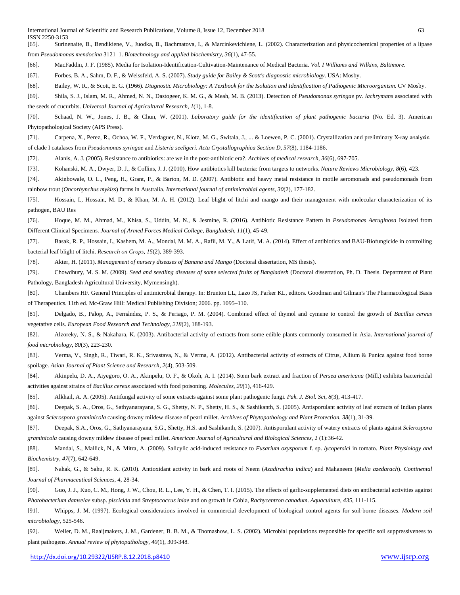International Journal of Scientific and Research Publications, Volume 8, Issue 12, December 2018 63 ISSN 2250-3153

[65]. Surinenaite, B., Bendikiene, V., Juodka, B., Bachmatova, I., & Marcinkevichiene, L. (2002). Characterization and physicochemical properties of a lipase from *Pseudomonas mendocina* 3121–1. *Biotechnology and applied biochemistry*, *36*(1), 47-55.

[66]. MacFaddin, J. F. (1985). Media for Isolation-Identification-Cultivation-Maintenance of Medical Bacteria. *Vol. I Williams and Wilkins, Baltimore*.

[67]. Forbes, B. A., Sahm, D. F., & Weissfeld, A. S. (2007). *Study guide for Bailey & Scott's diagnostic microbiology*. USA: Mosby.

[68]. Bailey, W. R., & Scott, E. G. (1966). *Diagnostic Microbiology: A Textbook for the Isolation and Identification of Pathogenic Microorganism*. CV Mosby.

[69]. Shila, S. J., Islam, M. R., Ahmed, N. N., Dastogeer, K. M. G., & Meah, M. B. (2013). Detection of *Pseudomonas syringae* pv. *lachrymans* associated with the seeds of cucurbits. *Universal Journal of Agricultural Research*, *1*(1), 1-8.

[70]. Schaad, N. W., Jones, J. B., & Chun, W. (2001). *Laboratory guide for the identification of plant pathogenic bacteria* (No. Ed. 3). American Phytopathological Society (APS Press).

[71]. Carpena, X., Perez, R., Ochoa, W. F., Verdaguer, N., Klotz, M. G., Switala, J., ... & Loewen, P. C. (2001). Crystallization and preliminary X-ray analysis of clade I catalases from *Pseudomonas syringae* and *Listeria seeligeri*. *Acta Crystallographica Section D*, *57*(8), 1184-1186.

[72]. Alanis, A. J. (2005). Resistance to antibiotics: are we in the post-antibiotic era?. *Archives of medical research*, *36*(6), 697-705.

[73]. Kohanski, M. A., Dwyer, D. J., & Collins, J. J. (2010). How antibiotics kill bacteria: from targets to networks. *Nature Reviews Microbiology*, *8*(6), 423.

[74]. Akinbowale, O. L., Peng, H., Grant, P., & Barton, M. D. (2007). Antibiotic and heavy metal resistance in motile aeromonads and pseudomonads from rainbow trout (*Oncorhynchus mykiss*) farms in Australia. *International journal of antimicrobial agents*, *30*(2), 177-182.

[75]. Hossain, I., Hossain, M. D., & Khan, M. A. H. (2012). Leaf blight of litchi and mango and their management with molecular characterization of its pathogen, BAU Res

[76]. Hoque, M. M., Ahmad, M., Khisa, S., Uddin, M. N., & Jesmine, R. (2016). Antibiotic Resistance Pattern in *Pseudomonas Aeruginosa* Isolated from Different Clinical Specimens. *Journal of Armed Forces Medical College, Bangladesh*, *11*(1), 45-49.

[77]. Basak, R. P., Hossain, I., Kashem, M. A., Mondal, M. M. A., Rafii, M. Y., & Latif, M. A. (2014). Effect of antibiotics and BAU-Biofungicide in controlling bacterial leaf blight of litchi. *Research on Crops*, *15*(2), 389-393.

[78]. Akter, H. (2011). *Management of nursery diseases of Banana and Mango* (Doctoral dissertation, MS thesis).

[79]. Chowdhury, M. S. M. (2009). *Seed and seedling diseases of some selected fruits of Bangladesh* (Doctoral dissertation, Ph. D. Thesis. Department of Plant Pathology, Bangladesh Agricultural University, Mymensingh).

[80]. Chambers HF. General Principles of antimicrobial therapy. In: Brunton LL, Lazo JS, Parker KL, editors. Goodman and Gilman's The Pharmacological Basis of Therapeutics. 11th ed. Mc-Graw Hill: Medical Publishing Division; 2006. pp. 1095–110.

[81]. Delgado, B., Palop, A., Fernández, P. S., & Periago, P. M. (2004). Combined effect of thymol and cymene to control the growth of *Bacillus cereus* vegetative cells. *European Food Research and Technology*, *218*(2), 188-193.

[82]. Alzoreky, N. S., & Nakahara, K. (2003). Antibacterial activity of extracts from some edible plants commonly consumed in Asia. *International journal of food microbiology*, *80*(3), 223-230.

[83]. Verma, V., Singh, R., Tiwari, R. K., Srivastava, N., & Verma, A. (2012). Antibacterial activity of extracts of Citrus, Allium & Punica against food borne spoilage. *Asian Journal of Plant Science and Research*, *2*(4), 503-509.

[84]. Akinpelu, D. A., Aiyegoro, O. A., Akinpelu, O. F., & Okoh, A. I. (2014). Stem bark extract and fraction of *Persea americana* (Mill.) exhibits bactericidal activities against strains of *Bacillus cereus* associated with food poisoning. *Molecules*, *20*(1), 416-429.

[85]. Alkhail, A. A. (2005). Antifungal activity of some extracts against some plant pathogenic fungi. *Pak. J. Biol. Sci*, *8*(3), 413-417.

[86]. Deepak, S. A., Oros, G., Sathyanarayana, S. G., Shetty, N. P., Shetty, H. S., & Sashikanth, S. (2005). Antisporulant activity of leaf extracts of Indian plants against *Sclerospora graminicola* causing downy mildew disease of pearl millet. *Archives of Phytopathology and Plant Protection*, *38*(1), 31-39.

[87]. Deepak, S.A., Oros, G., Sathyanarayana, S.G., Shetty, H.S. and Sashikanth, S. (2007). Antisporulant activity of watery extracts of plants against *Sclerospora graminicola* causing downy mildew disease of pearl millet. *American Journal of Agricultural and Biological Sciences*, 2 (1):36-42.

[88]. Mandal, S., Mallick, N., & Mitra, A. (2009). Salicylic acid-induced resistance to *Fusarium oxysporum* f. sp. *lycopersici* in tomato. *Plant Physiology and Biochemistry*, *47*(7), 642-649.

[89]. Nahak, G., & Sahu, R. K. (2010). Antioxidant activity in bark and roots of Neem (*Azadirachta indica*) and Mahaneem (*Melia azedarach*). *Continental Journal of Pharmaceutical Sciences*, *4*, 28-34.

[90]. Guo, J. J., Kuo, C. M., Hong, J. W., Chou, R. L., Lee, Y. H., & Chen, T. I. (2015). The effects of garlic-supplemented diets on antibacterial activities against *Photobacterium damselae* subsp. *piscicida* and *Streptococcus iniae* and on growth in Cobia, *Rachycentron canadum*. *Aquaculture*, *435*, 111-115.

[91]. Whipps, J. M. (1997). Ecological considerations involved in commercial development of biological control agents for soil-borne diseases. *Modern soil microbiology*, 525-546.

[92]. Weller, D. M., Raaijmakers, J. M., Gardener, B. B. M., & Thomashow, L. S. (2002). Microbial populations responsible for specific soil suppressiveness to plant pathogens. *Annual review of phytopathology*, *40*(1), 309-348.